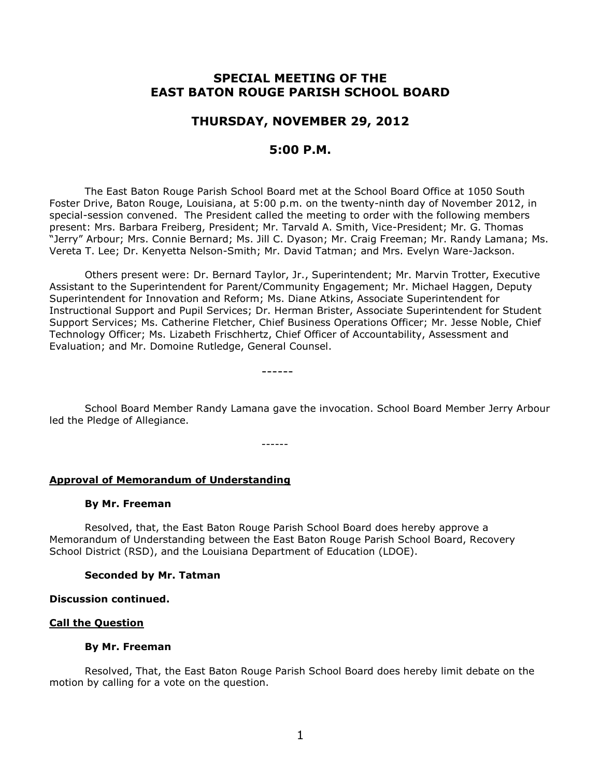# **SPECIAL MEETING OF THE EAST BATON ROUGE PARISH SCHOOL BOARD**

## **THURSDAY, NOVEMBER 29, 2012**

## **5:00 P.M.**

The East Baton Rouge Parish School Board met at the School Board Office at 1050 South Foster Drive, Baton Rouge, Louisiana, at 5:00 p.m. on the twenty-ninth day of November 2012, in special-session convened. The President called the meeting to order with the following members present: Mrs. Barbara Freiberg, President; Mr. Tarvald A. Smith, Vice-President; Mr. G. Thomas "Jerry" Arbour; Mrs. Connie Bernard; Ms. Jill C. Dyason; Mr. Craig Freeman; Mr. Randy Lamana; Ms. Vereta T. Lee; Dr. Kenyetta Nelson-Smith; Mr. David Tatman; and Mrs. Evelyn Ware-Jackson.

Others present were: Dr. Bernard Taylor, Jr., Superintendent; Mr. Marvin Trotter, Executive Assistant to the Superintendent for Parent/Community Engagement; Mr. Michael Haggen, Deputy Superintendent for Innovation and Reform; Ms. Diane Atkins, Associate Superintendent for Instructional Support and Pupil Services; Dr. Herman Brister, Associate Superintendent for Student Support Services; Ms. Catherine Fletcher, Chief Business Operations Officer; Mr. Jesse Noble, Chief Technology Officer; Ms. Lizabeth Frischhertz, Chief Officer of Accountability, Assessment and Evaluation; and Mr. Domoine Rutledge, General Counsel.

------

School Board Member Randy Lamana gave the invocation. School Board Member Jerry Arbour led the Pledge of Allegiance.

------

## **Approval of Memorandum of Understanding**

#### **By Mr. Freeman**

Resolved, that, the East Baton Rouge Parish School Board does hereby approve a Memorandum of Understanding between the East Baton Rouge Parish School Board, Recovery School District (RSD), and the Louisiana Department of Education (LDOE).

## **Seconded by Mr. Tatman**

#### **Discussion continued.**

## **Call the Question**

## **By Mr. Freeman**

Resolved, That, the East Baton Rouge Parish School Board does hereby limit debate on the motion by calling for a vote on the question.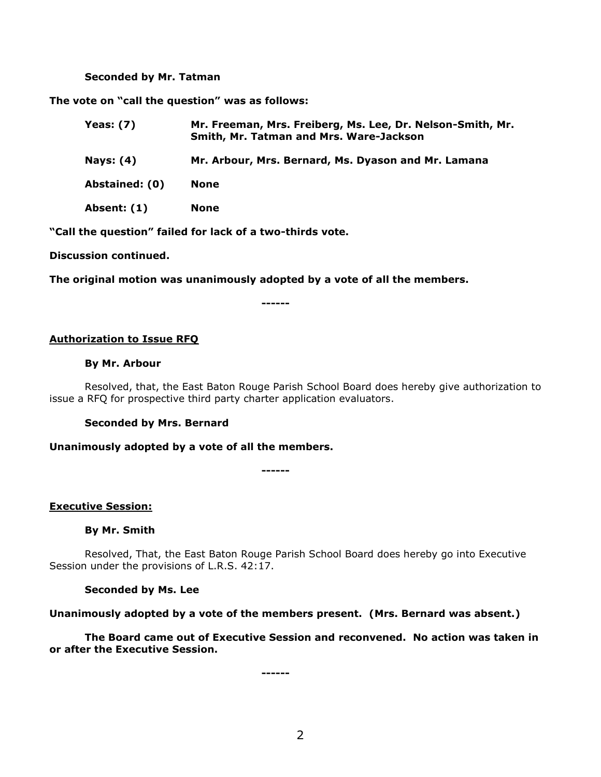#### **Seconded by Mr. Tatman**

**The vote on "call the question" was as follows:**

| Yeas: (7)          | Mr. Freeman, Mrs. Freiberg, Ms. Lee, Dr. Nelson-Smith, Mr.<br>Smith, Mr. Tatman and Mrs. Ware-Jackson |
|--------------------|-------------------------------------------------------------------------------------------------------|
| Nays: (4)          | Mr. Arbour, Mrs. Bernard, Ms. Dyason and Mr. Lamana                                                   |
| Abstained: (0)     | <b>None</b>                                                                                           |
| <b>Absent: (1)</b> | <b>None</b>                                                                                           |

**"Call the question" failed for lack of a two-thirds vote.**

**Discussion continued.**

**The original motion was unanimously adopted by a vote of all the members.**

**------**

## **Authorization to Issue RFQ**

#### **By Mr. Arbour**

Resolved, that, the East Baton Rouge Parish School Board does hereby give authorization to issue a RFQ for prospective third party charter application evaluators.

#### **Seconded by Mrs. Bernard**

**Unanimously adopted by a vote of all the members.**

**------**

#### **Executive Session:**

**By Mr. Smith**

Resolved, That, the East Baton Rouge Parish School Board does hereby go into Executive Session under the provisions of L.R.S. 42:17.

#### **Seconded by Ms. Lee**

**Unanimously adopted by a vote of the members present. (Mrs. Bernard was absent.)**

**The Board came out of Executive Session and reconvened. No action was taken in or after the Executive Session.**

**------**